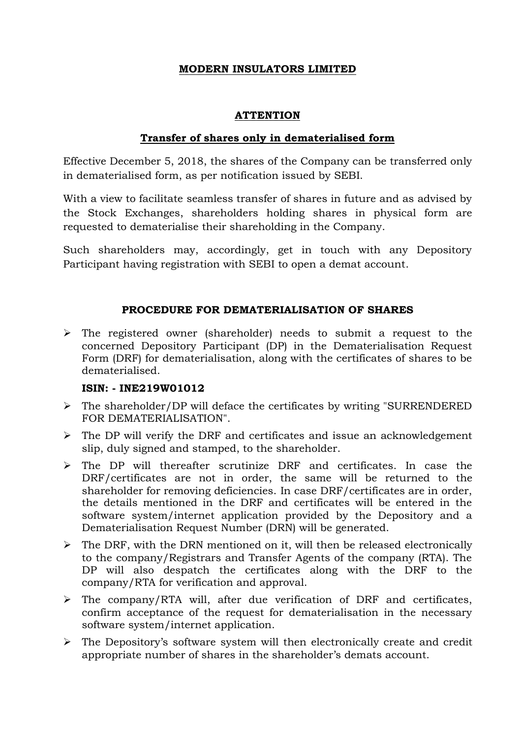# **MODERN INSULATORS LIMITED**

# **ATTENTION**

# **Transfer of shares only in dematerialised form**

Effective December 5, 2018, the shares of the Company can be transferred only in dematerialised form, as per notification issued by SEBI.

With a view to facilitate seamless transfer of shares in future and as advised by the Stock Exchanges, shareholders holding shares in physical form are requested to dematerialise their shareholding in the Company.

Such shareholders may, accordingly, get in touch with any Depository Participant having registration with SEBI to open a demat account.

# **PROCEDURE FOR DEMATERIALISATION OF SHARES**

 $\triangleright$  The registered owner (shareholder) needs to submit a request to the concerned Depository Participant (DP) in the Dematerialisation Request Form (DRF) for dematerialisation, along with the certificates of shares to be dematerialised.

# **ISIN: - INE219W01012**

- $\triangleright$  The shareholder/DP will deface the certificates by writing "SURRENDERED" FOR DEMATERIALISATION".
- $\triangleright$  The DP will verify the DRF and certificates and issue an acknowledgement slip, duly signed and stamped, to the shareholder.
- The DP will thereafter scrutinize DRF and certificates. In case the DRF/certificates are not in order, the same will be returned to the shareholder for removing deficiencies. In case DRF/certificates are in order, the details mentioned in the DRF and certificates will be entered in the software system/internet application provided by the Depository and a Dematerialisation Request Number (DRN) will be generated.
- $\triangleright$  The DRF, with the DRN mentioned on it, will then be released electronically to the company/Registrars and Transfer Agents of the company (RTA). The DP will also despatch the certificates along with the DRF to the company/RTA for verification and approval.
- $\triangleright$  The company/RTA will, after due verification of DRF and certificates, confirm acceptance of the request for dematerialisation in the necessary software system/internet application.
- $\triangleright$  The Depository's software system will then electronically create and credit appropriate number of shares in the shareholder's demats account.